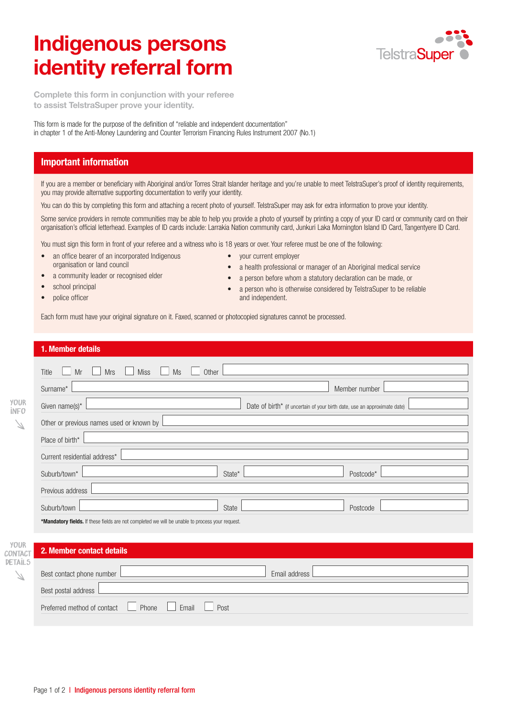# Indigenous persons identity referral form



Complete this form in conjunction with your referee to assist TelstraSuper prove your identity.

This form is made for the purpose of the definition of "reliable and independent documentation" in chapter 1 of the Anti-Money Laundering and Counter Terrorism Financing Rules Instrument 2007 (No.1)

# Important information

If you are a member or beneficiary with Aboriginal and/or Torres Strait Islander heritage and you're unable to meet TelstraSuper's proof of identity requirements, you may provide alternative supporting documentation to verify your identity.

You can do this by completing this form and attaching a recent photo of yourself. TelstraSuper may ask for extra information to prove your identity.

Some service providers in remote communities may be able to help you provide a photo of yourself by printing a copy of your ID card or community card on their organisation's official letterhead. Examples of ID cards include: Larrakia Nation community card, Junkuri Laka Mornington Island ID Card, Tangentyere ID Card.

You must sign this form in front of your referee and a witness who is 18 years or over. Your referee must be one of the following:

- an office bearer of an incorporated Indigenous organisation or land council
- a community leader or recognised elder
- school principal
- police officer
- your current employer
- a health professional or manager of an Aboriginal medical service
- a person before whom a statutory declaration can be made, or
- a person who is otherwise considered by TelstraSuper to be reliable and independent.

Each form must have your original signature on it. Faxed, scanned or photocopied signatures cannot be processed.

#### 1. Member details

**CONTA** DETAIL

|                            | Miss<br>Mrs<br>Title<br>Mr<br>Ms<br>Other                                                       |                                                                           |
|----------------------------|-------------------------------------------------------------------------------------------------|---------------------------------------------------------------------------|
|                            | Surname*                                                                                        | Member number                                                             |
| <b>YOUR</b><br><b>İNFO</b> | Given name(s)*                                                                                  | Date of birth* (if uncertain of your birth date, use an approximate date) |
| $\mathbb Z$                | Other or previous names used or known by                                                        |                                                                           |
|                            | Place of birth*                                                                                 |                                                                           |
|                            | Current residential address*                                                                    |                                                                           |
|                            | Suburb/town*<br>State*                                                                          | Postcode*                                                                 |
|                            | Previous address                                                                                |                                                                           |
|                            | Suburb/town<br>State                                                                            | Postcode                                                                  |
|                            | *Mandatory fields. If these fields are not completed we will be unable to process your request. |                                                                           |
| <b>YOUR</b>                |                                                                                                 |                                                                           |
| <b>ONTACT</b><br>ETAİL5    | 2. Member contact details                                                                       |                                                                           |
| $\mathbb Z$                | Best contact phone number                                                                       | Email address                                                             |
|                            | Best postal address                                                                             |                                                                           |

Preferred method of contact **Phone** Email Post